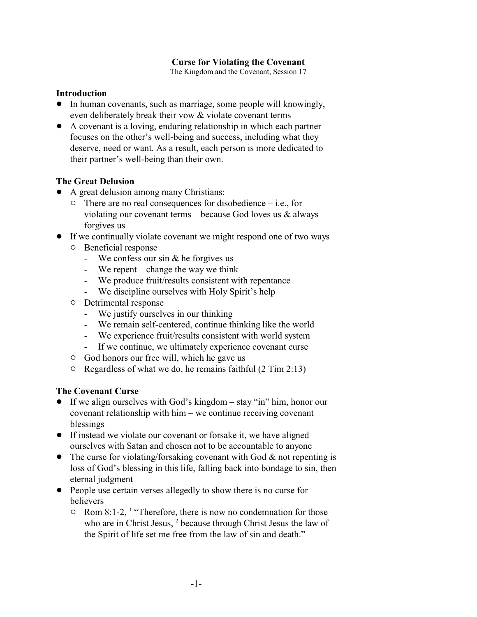### **Curse for Violating the Covenant**

The Kingdom and the Covenant, Session 17

#### **Introduction**

- In human covenants, such as marriage, some people will knowingly, even deliberately break their vow & violate covenant terms
- ! A covenant is a loving, enduring relationship in which each partner focuses on the other's well-being and success, including what they deserve, need or want. As a result, each person is more dedicated to their partner's well-being than their own.

### **The Great Delusion**

- A great delusion among many Christians:
	- $\circ$  There are no real consequences for disobedience i.e., for violating our covenant terms – because God loves us  $\&$  always forgives us
- ! If we continually violate covenant we might respond one of two ways
	- $\circ$  Beneficial response
		- We confess our sin & he forgives us
		- We repent change the way we think
		- We produce fruit/results consistent with repentance
		- We discipline ourselves with Holy Spirit's help
	- $\circ$  Detrimental response
		- We justify ourselves in our thinking
		- We remain self-centered, continue thinking like the world
		- We experience fruit/results consistent with world system
		- If we continue, we ultimately experience covenant curse
	- $\circ$  God honors our free will, which he gave us
	- $\circ$  Regardless of what we do, he remains faithful (2 Tim 2:13)

### **The Covenant Curse**

- ! If we align ourselves with God's kingdom stay "in" him, honor our covenant relationship with him – we continue receiving covenant blessings
- If instead we violate our covenant or forsake it, we have aligned ourselves with Satan and chosen not to be accountable to anyone
- The curse for violating/forsaking covenant with God  $\&$  not repenting is loss of God's blessing in this life, falling back into bondage to sin, then eternal judgment
- People use certain verses allegedly to show there is no curse for believers
	- $\circ$  Rom 8:1-2, <sup>1</sup> "Therefore, there is now no condemnation for those who are in Christ Jesus,<sup>2</sup> because through Christ Jesus the law of the Spirit of life set me free from the law of sin and death."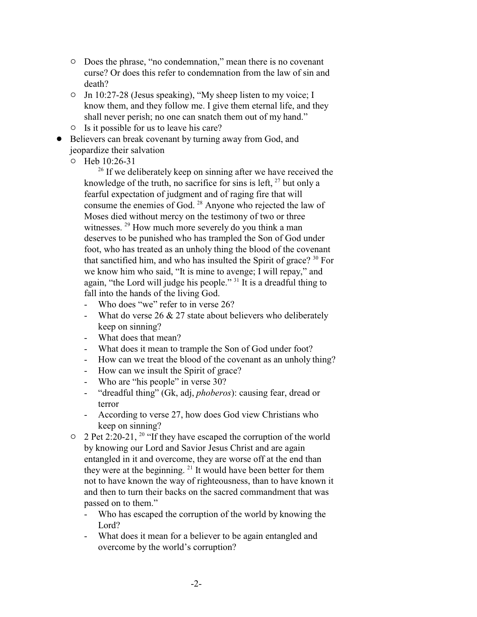- $\circ$  Does the phrase, "no condemnation," mean there is no covenant curse? Or does this refer to condemnation from the law of sin and death?
- <sup>o</sup> Jn 10:27-28 (Jesus speaking), "My sheep listen to my voice; I know them, and they follow me. I give them eternal life, and they shall never perish; no one can snatch them out of my hand."
- $\circ$  Is it possible for us to leave his care?
- Believers can break covenant by turning away from God, and jeopardize their salvation
	- 0 Heb 10:26-31

<sup>26</sup> If we deliberately keep on sinning after we have received the knowledge of the truth, no sacrifice for sins is left,  $2<sup>7</sup>$  but only a fearful expectation of judgment and of raging fire that will consume the enemies of God.<sup>28</sup> Anyone who rejected the law of Moses died without mercy on the testimony of two or three witnesses. <sup>29</sup> How much more severely do you think a man deserves to be punished who has trampled the Son of God under foot, who has treated as an unholy thing the blood of the covenant that sanctified him, and who has insulted the Spirit of grace? <sup>30</sup> For we know him who said, "It is mine to avenge; I will repay," and again, "the Lord will judge his people." <sup>31</sup> It is a dreadful thing to fall into the hands of the living God.

- Who does "we" refer to in verse 26?
- What do verse  $26 \& 27$  state about believers who deliberately keep on sinning?
- What does that mean?
- What does it mean to trample the Son of God under foot?
- How can we treat the blood of the covenant as an unholy thing?
- How can we insult the Spirit of grace?
- Who are "his people" in verse 30?
- "dreadful thing" (Gk, adj, *phoberos*): causing fear, dread or terror
- According to verse 27, how does God view Christians who keep on sinning?
- $\degree$  2 Pet 2:20-21, <sup>20</sup> "If they have escaped the corruption of the world by knowing our Lord and Savior Jesus Christ and are again entangled in it and overcome, they are worse off at the end than they were at the beginning. <sup>21</sup> It would have been better for them not to have known the way of righteousness, than to have known it and then to turn their backs on the sacred commandment that was passed on to them."
	- Who has escaped the corruption of the world by knowing the Lord?
	- What does it mean for a believer to be again entangled and overcome by the world's corruption?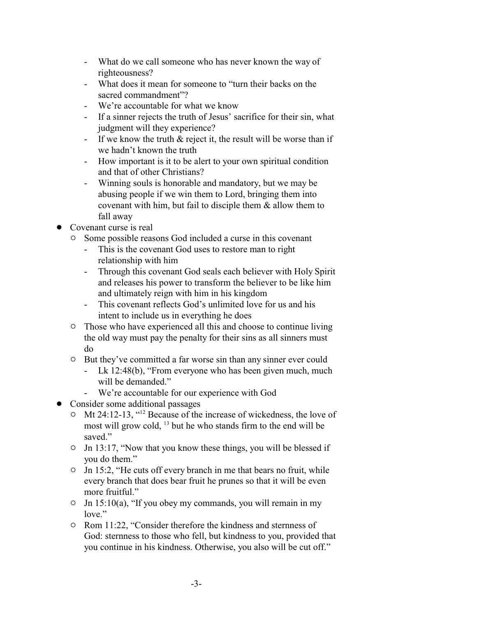- What do we call someone who has never known the way of righteousness?
- What does it mean for someone to "turn their backs on the sacred commandment"?
- We're accountable for what we know
- If a sinner rejects the truth of Jesus' sacrifice for their sin, what judgment will they experience?
- If we know the truth  $\&$  reject it, the result will be worse than if we hadn't known the truth
- How important is it to be alert to your own spiritual condition and that of other Christians?
- Winning souls is honorable and mandatory, but we may be abusing people if we win them to Lord, bringing them into covenant with him, but fail to disciple them & allow them to fall away
- Covenant curse is real
	- <sup>o</sup> Some possible reasons God included a curse in this covenant
		- This is the covenant God uses to restore man to right relationship with him
		- Through this covenant God seals each believer with Holy Spirit and releases his power to transform the believer to be like him and ultimately reign with him in his kingdom
		- This covenant reflects God's unlimited love for us and his intent to include us in everything he does
	- $\circ$  Those who have experienced all this and choose to continue living the old way must pay the penalty for their sins as all sinners must do
	- <sup>o</sup> But they've committed a far worse sin than any sinner ever could
		- Lk 12:48(b), "From everyone who has been given much, much will be demanded."
		- We're accountable for our experience with God
- Consider some additional passages
	- $\circ$  Mt 24:12-13, "<sup>12</sup> Because of the increase of wickedness, the love of most will grow cold, <sup>13</sup> but he who stands firm to the end will be saved."
	- $\circ$  Jn 13:17, "Now that you know these things, you will be blessed if you do them."
	- $\circ$  Jn 15:2, "He cuts off every branch in me that bears no fruit, while every branch that does bear fruit he prunes so that it will be even more fruitful."
	- $\circ$  Jn 15:10(a), "If you obey my commands, you will remain in my love."
	- Rom 11:22, "Consider therefore the kindness and sternness of God: sternness to those who fell, but kindness to you, provided that you continue in his kindness. Otherwise, you also will be cut off."